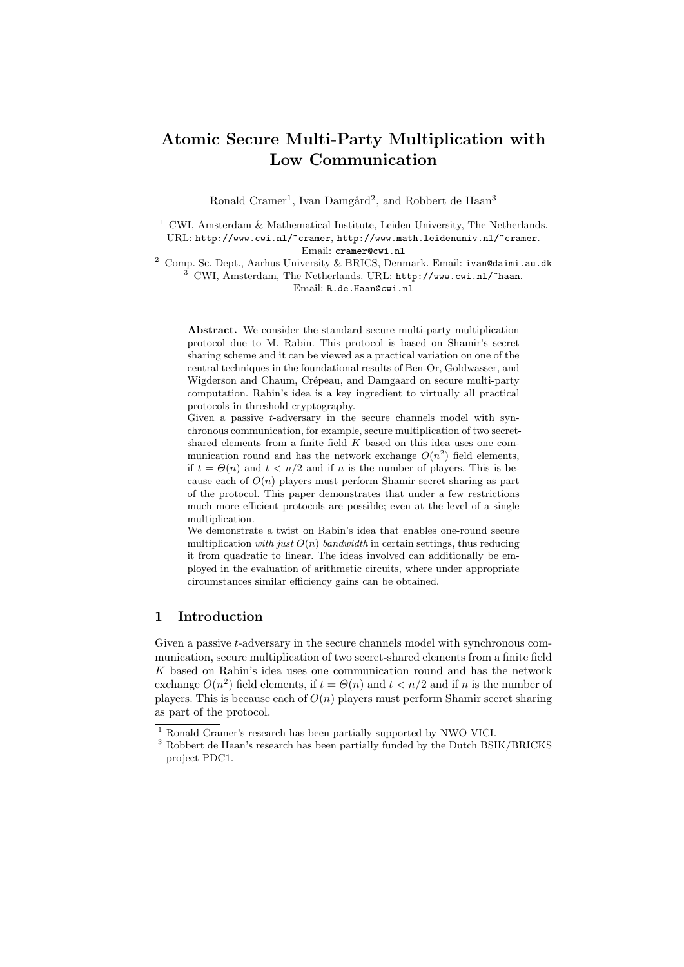# Atomic Secure Multi-Party Multiplication with Low Communication

Ronald Cramer<sup>1</sup>, Ivan Damgård<sup>2</sup>, and Robbert de Haan<sup>3</sup>

<sup>1</sup> CWI, Amsterdam & Mathematical Institute, Leiden University, The Netherlands. URL: http://www.cwi.nl/~cramer, http://www.math.leidenuniv.nl/~cramer. Email: cramer@cwi.nl

 $^2\,$  Comp. Sc. Dept., Aarhus University & BRICS, Denmark. Email:  $\mathtt{ivan}\texttt{9daimi.au.dk}$ <sup>3</sup> CWI, Amsterdam, The Netherlands. URL: http://www.cwi.nl/~haan. Email: R.de.Haan@cwi.nl

Abstract. We consider the standard secure multi-party multiplication protocol due to M. Rabin. This protocol is based on Shamir's secret sharing scheme and it can be viewed as a practical variation on one of the central techniques in the foundational results of Ben-Or, Goldwasser, and Wigderson and Chaum, Crépeau, and Damgaard on secure multi-party computation. Rabin's idea is a key ingredient to virtually all practical protocols in threshold cryptography.

Given a passive t-adversary in the secure channels model with synchronous communication, for example, secure multiplication of two secretshared elements from a finite field K based on this idea uses one communication round and has the network exchange  $O(n^2)$  field elements, if  $t = \Theta(n)$  and  $t < n/2$  and if n is the number of players. This is because each of  $O(n)$  players must perform Shamir secret sharing as part of the protocol. This paper demonstrates that under a few restrictions much more efficient protocols are possible; even at the level of a single multiplication.

We demonstrate a twist on Rabin's idea that enables one-round secure multiplication with just  $O(n)$  bandwidth in certain settings, thus reducing it from quadratic to linear. The ideas involved can additionally be employed in the evaluation of arithmetic circuits, where under appropriate circumstances similar efficiency gains can be obtained.

# 1 Introduction

Given a passive t-adversary in the secure channels model with synchronous communication, secure multiplication of two secret-shared elements from a finite field K based on Rabin's idea uses one communication round and has the network exchange  $O(n^2)$  field elements, if  $t = \Theta(n)$  and  $t < n/2$  and if n is the number of players. This is because each of  $O(n)$  players must perform Shamir secret sharing as part of the protocol.

 $^{\rm 1}$  Ronald Cramer's research has been partially supported by NWO VICI.

<sup>&</sup>lt;sup>3</sup> Robbert de Haan's research has been partially funded by the Dutch BSIK/BRICKS project PDC1.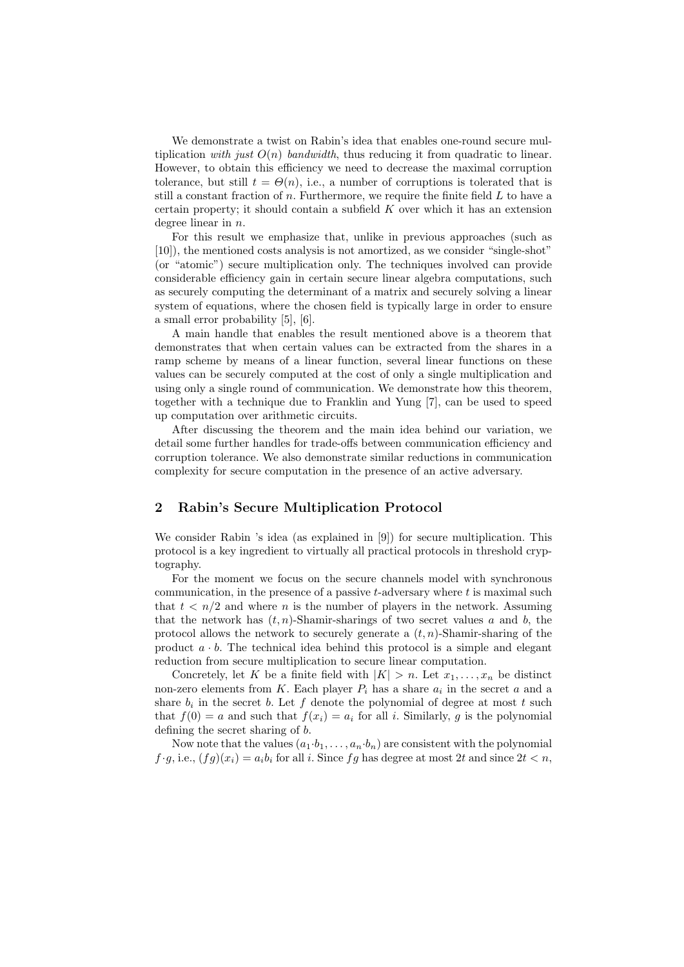We demonstrate a twist on Rabin's idea that enables one-round secure multiplication with just  $O(n)$  bandwidth, thus reducing it from quadratic to linear. However, to obtain this efficiency we need to decrease the maximal corruption tolerance, but still  $t = \Theta(n)$ , i.e., a number of corruptions is tolerated that is still a constant fraction of n. Furthermore, we require the finite field  $L$  to have a certain property; it should contain a subfield  $K$  over which it has an extension degree linear in *n*.

For this result we emphasize that, unlike in previous approaches (such as [10]), the mentioned costs analysis is not amortized, as we consider "single-shot" (or "atomic") secure multiplication only. The techniques involved can provide considerable efficiency gain in certain secure linear algebra computations, such as securely computing the determinant of a matrix and securely solving a linear system of equations, where the chosen field is typically large in order to ensure a small error probability [5], [6].

A main handle that enables the result mentioned above is a theorem that demonstrates that when certain values can be extracted from the shares in a ramp scheme by means of a linear function, several linear functions on these values can be securely computed at the cost of only a single multiplication and using only a single round of communication. We demonstrate how this theorem, together with a technique due to Franklin and Yung [7], can be used to speed up computation over arithmetic circuits.

After discussing the theorem and the main idea behind our variation, we detail some further handles for trade-offs between communication efficiency and corruption tolerance. We also demonstrate similar reductions in communication complexity for secure computation in the presence of an active adversary.

# 2 Rabin's Secure Multiplication Protocol

We consider Rabin 's idea (as explained in [9]) for secure multiplication. This protocol is a key ingredient to virtually all practical protocols in threshold cryptography.

For the moment we focus on the secure channels model with synchronous communication, in the presence of a passive  $t$ -adversary where  $t$  is maximal such that  $t < n/2$  and where *n* is the number of players in the network. Assuming that the network has  $(t, n)$ -Shamir-sharings of two secret values a and b, the protocol allows the network to securely generate a  $(t, n)$ -Shamir-sharing of the product  $a \cdot b$ . The technical idea behind this protocol is a simple and elegant reduction from secure multiplication to secure linear computation.

Concretely, let K be a finite field with  $|K| > n$ . Let  $x_1, \ldots, x_n$  be distinct non-zero elements from K. Each player  $P_i$  has a share  $a_i$  in the secret a and a share  $b_i$  in the secret b. Let f denote the polynomial of degree at most t such that  $f(0) = a$  and such that  $f(x_i) = a_i$  for all i. Similarly, g is the polynomial defining the secret sharing of b.

Now note that the values  $(a_1 \cdot b_1, \ldots, a_n \cdot b_n)$  are consistent with the polynomial  $f \cdot g$ , i.e.,  $(fg)(x_i) = a_i b_i$  for all i. Since  $fg$  has degree at most 2t and since  $2t < n$ ,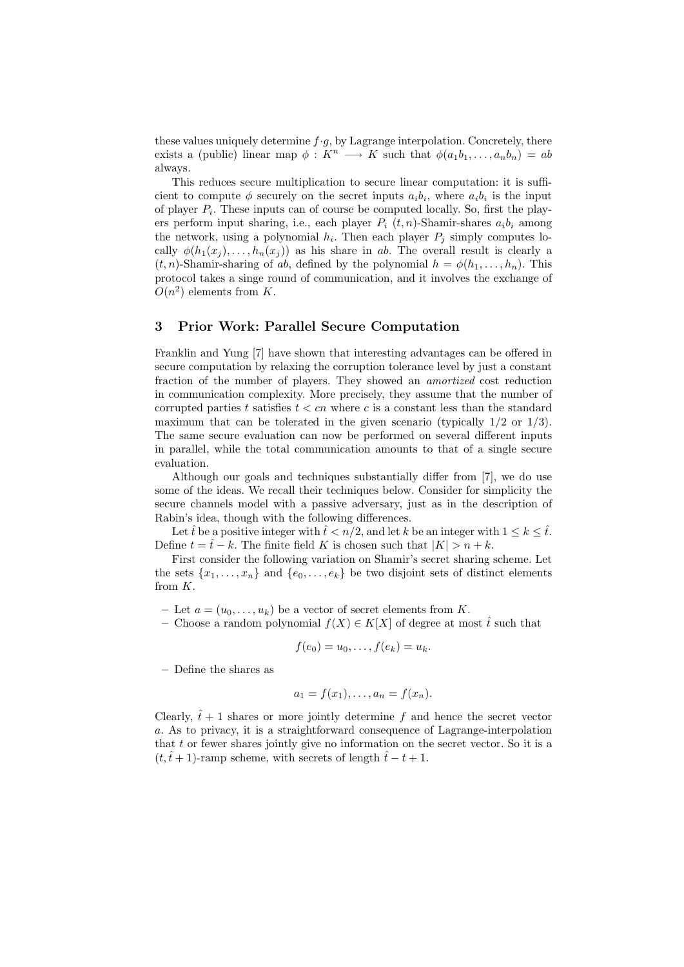these values uniquely determine  $f \cdot g$ , by Lagrange interpolation. Concretely, there exists a (public) linear map  $\phi: K^n \longrightarrow K$  such that  $\phi(a_1b_1,\ldots,a_nb_n) = ab$ always.

This reduces secure multiplication to secure linear computation: it is sufficient to compute  $\phi$  securely on the secret inputs  $a_i b_i$ , where  $a_i b_i$  is the input of player  $P_i$ . These inputs can of course be computed locally. So, first the players perform input sharing, i.e., each player  $P_i$  (t, n)-Shamir-shares  $a_i b_i$  among the network, using a polynomial  $h_i$ . Then each player  $P_j$  simply computes locally  $\phi(h_1(x_j), \ldots, h_n(x_j))$  as his share in ab. The overall result is clearly a  $(t, n)$ -Shamir-sharing of ab, defined by the polynomial  $h = \phi(h_1, \ldots, h_n)$ . This protocol takes a singe round of communication, and it involves the exchange of  $O(n^2)$  elements from K.

# 3 Prior Work: Parallel Secure Computation

Franklin and Yung [7] have shown that interesting advantages can be offered in secure computation by relaxing the corruption tolerance level by just a constant fraction of the number of players. They showed an amortized cost reduction in communication complexity. More precisely, they assume that the number of corrupted parties t satisfies  $t < cn$  where c is a constant less than the standard maximum that can be tolerated in the given scenario (typically  $1/2$  or  $1/3$ ). The same secure evaluation can now be performed on several different inputs in parallel, while the total communication amounts to that of a single secure evaluation.

Although our goals and techniques substantially differ from [7], we do use some of the ideas. We recall their techniques below. Consider for simplicity the secure channels model with a passive adversary, just as in the description of Rabin's idea, though with the following differences.

Let  $\hat{t}$  be a positive integer with  $\hat{t} < n/2$ , and let k be an integer with  $1 \leq k \leq \hat{t}$ . Define  $t = \hat{t} - k$ . The finite field K is chosen such that  $|K| > n + k$ .

First consider the following variation on Shamir's secret sharing scheme. Let the sets  $\{x_1, \ldots, x_n\}$  and  $\{e_0, \ldots, e_k\}$  be two disjoint sets of distinct elements from K.

- Let  $a = (u_0, \ldots, u_k)$  be a vector of secret elements from K.
- Choose a random polynomial  $f(X) \in K[X]$  of degree at most  $\hat{t}$  such that

$$
f(e_0)=u_0,\ldots,f(e_k)=u_k.
$$

– Define the shares as

$$
a_1 = f(x_1), \ldots, a_n = f(x_n).
$$

Clearly,  $\hat{t} + 1$  shares or more jointly determine f and hence the secret vector a. As to privacy, it is a straightforward consequence of Lagrange-interpolation that t or fewer shares jointly give no information on the secret vector. So it is a  $(t,\hat{t}+1)$ -ramp scheme, with secrets of length  $\hat{t}-t+1$ .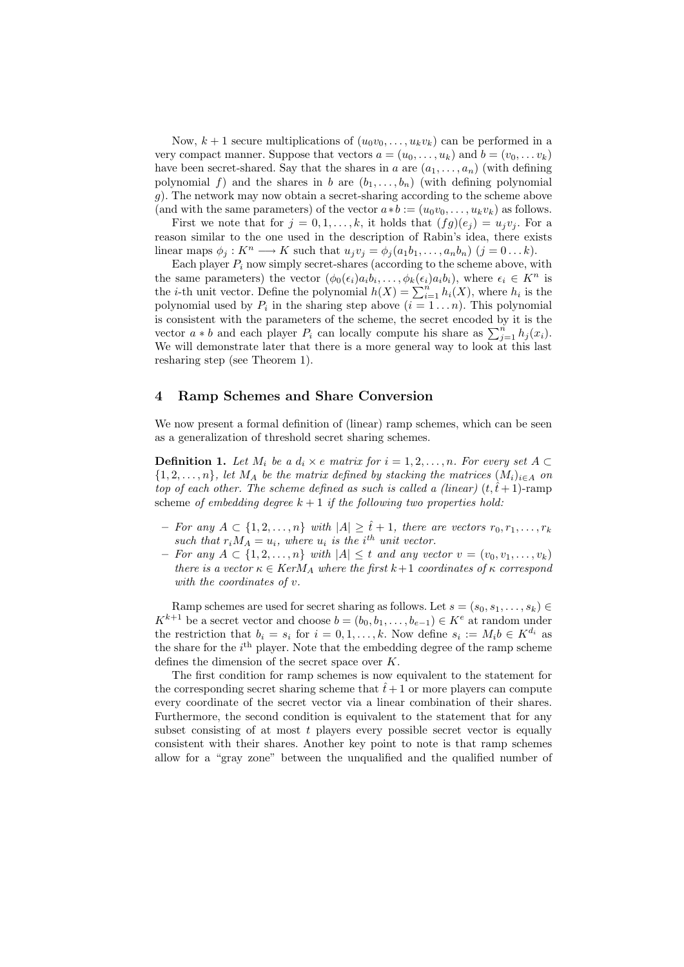Now,  $k + 1$  secure multiplications of  $(u_0v_0, \ldots, u_kv_k)$  can be performed in a very compact manner. Suppose that vectors  $a = (u_0, \ldots, u_k)$  and  $b = (v_0, \ldots, v_k)$ have been secret-shared. Say that the shares in a are  $(a_1, \ldots, a_n)$  (with defining polynomial f) and the shares in b are  $(b_1, \ldots, b_n)$  (with defining polynomial g). The network may now obtain a secret-sharing according to the scheme above (and with the same parameters) of the vector  $a * b := (u_0v_0, \ldots, u_kv_k)$  as follows.

First we note that for  $j = 0, 1, \ldots, k$ , it holds that  $(fg)(e_i) = u_i v_i$ . For a reason similar to the one used in the description of Rabin's idea, there exists linear maps  $\phi_j: K^n \longrightarrow K$  such that  $u_jv_j = \phi_j(a_1b_1,\ldots,a_nb_n)$   $(j = 0 \ldots k)$ .

Each player  $P_i$  now simply secret-shares (according to the scheme above, with the same parameters) the vector  $(\phi_0(\epsilon_i)a_ib_i,\ldots,\phi_k(\epsilon_i)a_ib_i)$ , where  $\epsilon_i \in K^n$  is the *i*-th unit vector. Define the polynomial  $h(X) = \sum_{i=1}^{n} h_i(X)$ , where  $h_i$  is the polynomial used by  $P_i$  in the sharing step above  $(i = 1 \dots n)$ . This polynomial is consistent with the parameters of the scheme, the secret encoded by it is the vector  $a * b$  and each player  $P_i$  can locally compute his share as  $\sum_{j=1}^{n} h_j(x_i)$ . We will demonstrate later that there is a more general way to look at this last resharing step (see Theorem 1).

#### 4 Ramp Schemes and Share Conversion

We now present a formal definition of (linear) ramp schemes, which can be seen as a generalization of threshold secret sharing schemes.

**Definition 1.** Let  $M_i$  be a  $d_i \times e$  matrix for  $i = 1, 2, ..., n$ . For every set  $A \subset$  $\{1, 2, \ldots, n\}$ , let  $M_A$  be the matrix defined by stacking the matrices  $(M_i)_{i \in A}$  on top of each other. The scheme defined as such is called a (linear)  $(t, \hat{t} + 1)$ -ramp scheme of embedding degree  $k + 1$  if the following two properties hold:

- For any  $A \subset \{1, 2, ..., n\}$  with  $|A| \geq \hat{t} + 1$ , there are vectors  $r_0, r_1, ..., r_k$ such that  $r_i M_A = u_i$ , where  $u_i$  is the i<sup>th</sup> unit vector.
- $-$  For any  $A \subset \{1, 2, ..., n\}$  with  $|A|$  ≤ t and any vector  $v = (v_0, v_1, ..., v_k)$ there is a vector  $\kappa \in \text{Ker} M_A$  where the first  $k+1$  coordinates of  $\kappa$  correspond with the coordinates of v.

Ramp schemes are used for secret sharing as follows. Let  $s = (s_0, s_1, \ldots, s_k) \in$  $K^{k+1}$  be a secret vector and choose  $b = (b_0, b_1, \ldots, b_{e-1}) \in K^e$  at random under the restriction that  $b_i = s_i$  for  $i = 0, 1, ..., k$ . Now define  $s_i := M_i b \in K^{d_i}$  as the share for the  $i<sup>th</sup>$  player. Note that the embedding degree of the ramp scheme defines the dimension of the secret space over K.

The first condition for ramp schemes is now equivalent to the statement for the corresponding secret sharing scheme that  $\hat{t}+1$  or more players can compute every coordinate of the secret vector via a linear combination of their shares. Furthermore, the second condition is equivalent to the statement that for any subset consisting of at most  $t$  players every possible secret vector is equally consistent with their shares. Another key point to note is that ramp schemes allow for a "gray zone" between the unqualified and the qualified number of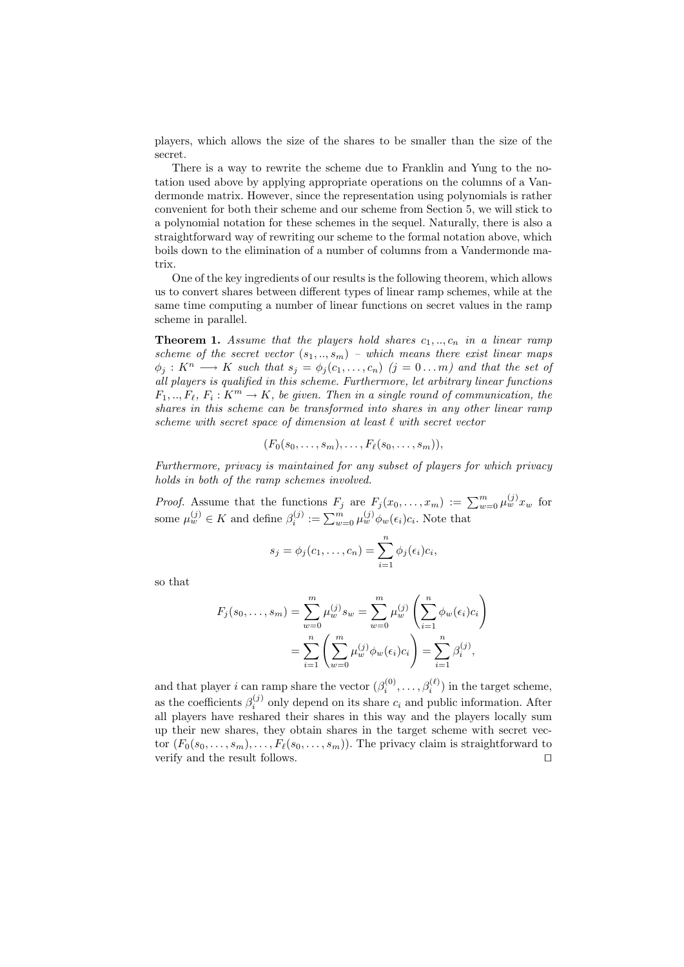players, which allows the size of the shares to be smaller than the size of the secret.

There is a way to rewrite the scheme due to Franklin and Yung to the notation used above by applying appropriate operations on the columns of a Vandermonde matrix. However, since the representation using polynomials is rather convenient for both their scheme and our scheme from Section 5, we will stick to a polynomial notation for these schemes in the sequel. Naturally, there is also a straightforward way of rewriting our scheme to the formal notation above, which boils down to the elimination of a number of columns from a Vandermonde matrix.

One of the key ingredients of our results is the following theorem, which allows us to convert shares between different types of linear ramp schemes, while at the same time computing a number of linear functions on secret values in the ramp scheme in parallel.

**Theorem 1.** Assume that the players hold shares  $c_1, \ldots, c_n$  in a linear ramp scheme of the secret vector  $(s_1, ..., s_m)$  – which means there exist linear maps  $\phi_j: K^n \longrightarrow K$  such that  $s_j = \phi_j(c_1, \ldots, c_n)$   $(j = 0 \ldots m)$  and that the set of all players is qualified in this scheme. Furthermore, let arbitrary linear functions  $F_1, ..., F_\ell, F_i: K^m \to K$ , be given. Then in a single round of communication, the shares in this scheme can be transformed into shares in any other linear ramp scheme with secret space of dimension at least  $\ell$  with secret vector

$$
(F_0(s_0,\ldots,s_m),\ldots,F_\ell(s_0,\ldots,s_m)),
$$

Furthermore, privacy is maintained for any subset of players for which privacy holds in both of the ramp schemes involved.

*Proof.* Assume that the functions  $F_j$  are  $F_j(x_0, \ldots, x_m) := \sum_{w=0}^m \mu_w^{(j)} x_w$  for some  $\mu_w^{(j)} \in K$  and define  $\beta_i^{(j)} := \sum_{w=0}^m \mu_w^{(j)} \phi_w(\epsilon_i) c_i$ . Note that

$$
s_j = \phi_j(c_1, \ldots, c_n) = \sum_{i=1}^n \phi_j(\epsilon_i) c_i,
$$

so that

$$
F_j(s_0, \dots, s_m) = \sum_{w=0}^m \mu_w^{(j)} s_w = \sum_{w=0}^m \mu_w^{(j)} \left( \sum_{i=1}^n \phi_w(\epsilon_i) c_i \right)
$$
  
= 
$$
\sum_{i=1}^n \left( \sum_{w=0}^m \mu_w^{(j)} \phi_w(\epsilon_i) c_i \right) = \sum_{i=1}^n \beta_i^{(j)},
$$

and that player i can ramp share the vector  $(\beta_i^{(0)}, \ldots, \beta_i^{(\ell)})$  in the target scheme, as the coefficients  $\beta_i^{(j)}$  only depend on its share  $c_i$  and public information. After all players have reshared their shares in this way and the players locally sum up their new shares, they obtain shares in the target scheme with secret vector  $(F_0(s_0, \ldots, s_m), \ldots, F_\ell(s_0, \ldots, s_m))$ . The privacy claim is straightforward to verify and the result follows.  $\Box$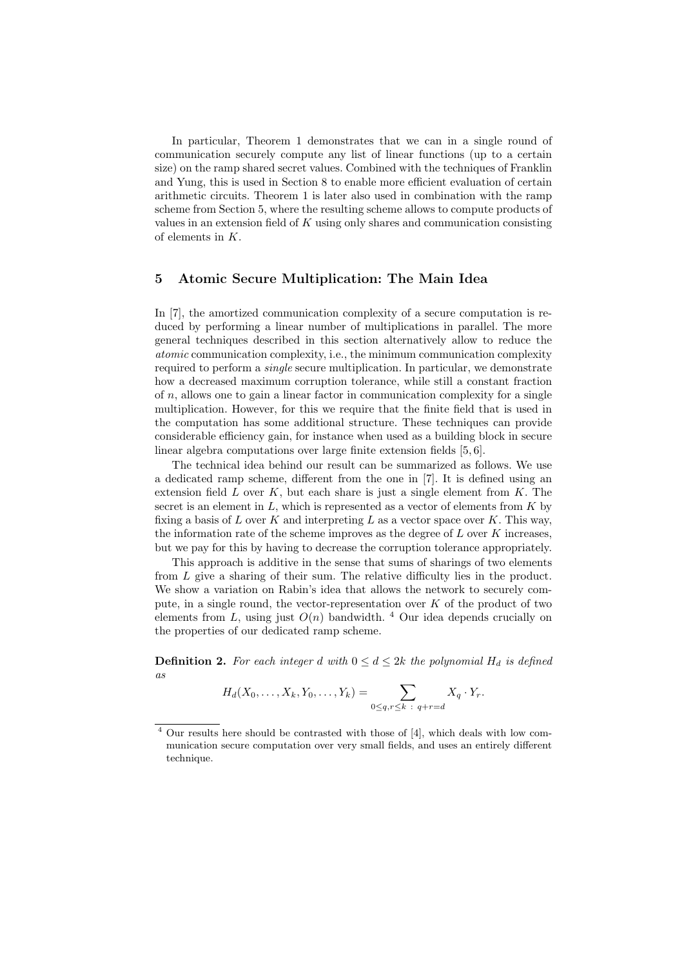In particular, Theorem 1 demonstrates that we can in a single round of communication securely compute any list of linear functions (up to a certain size) on the ramp shared secret values. Combined with the techniques of Franklin and Yung, this is used in Section 8 to enable more efficient evaluation of certain arithmetic circuits. Theorem 1 is later also used in combination with the ramp scheme from Section 5, where the resulting scheme allows to compute products of values in an extension field of  $K$  using only shares and communication consisting of elements in  $K$ .

# 5 Atomic Secure Multiplication: The Main Idea

In [7], the amortized communication complexity of a secure computation is reduced by performing a linear number of multiplications in parallel. The more general techniques described in this section alternatively allow to reduce the atomic communication complexity, i.e., the minimum communication complexity required to perform a single secure multiplication. In particular, we demonstrate how a decreased maximum corruption tolerance, while still a constant fraction of  $n$ , allows one to gain a linear factor in communication complexity for a single multiplication. However, for this we require that the finite field that is used in the computation has some additional structure. These techniques can provide considerable efficiency gain, for instance when used as a building block in secure linear algebra computations over large finite extension fields [5, 6].

The technical idea behind our result can be summarized as follows. We use a dedicated ramp scheme, different from the one in [7]. It is defined using an extension field  $L$  over  $K$ , but each share is just a single element from  $K$ . The secret is an element in  $L$ , which is represented as a vector of elements from  $K$  by fixing a basis of  $L$  over  $K$  and interpreting  $L$  as a vector space over  $K$ . This way, the information rate of the scheme improves as the degree of  $L$  over  $K$  increases, but we pay for this by having to decrease the corruption tolerance appropriately.

This approach is additive in the sense that sums of sharings of two elements from L give a sharing of their sum. The relative difficulty lies in the product. We show a variation on Rabin's idea that allows the network to securely compute, in a single round, the vector-representation over  $K$  of the product of two elements from L, using just  $O(n)$  bandwidth. <sup>4</sup> Our idea depends crucially on the properties of our dedicated ramp scheme.

**Definition 2.** For each integer d with  $0 \le d \le 2k$  the polynomial  $H_d$  is defined as

$$
H_d(X_0,\ldots,X_k,Y_0,\ldots,Y_k)=\sum_{0\leq q,r\leq k\;:\; q+r=d}X_q\cdot Y_r.
$$

<sup>4</sup> Our results here should be contrasted with those of [4], which deals with low communication secure computation over very small fields, and uses an entirely different technique.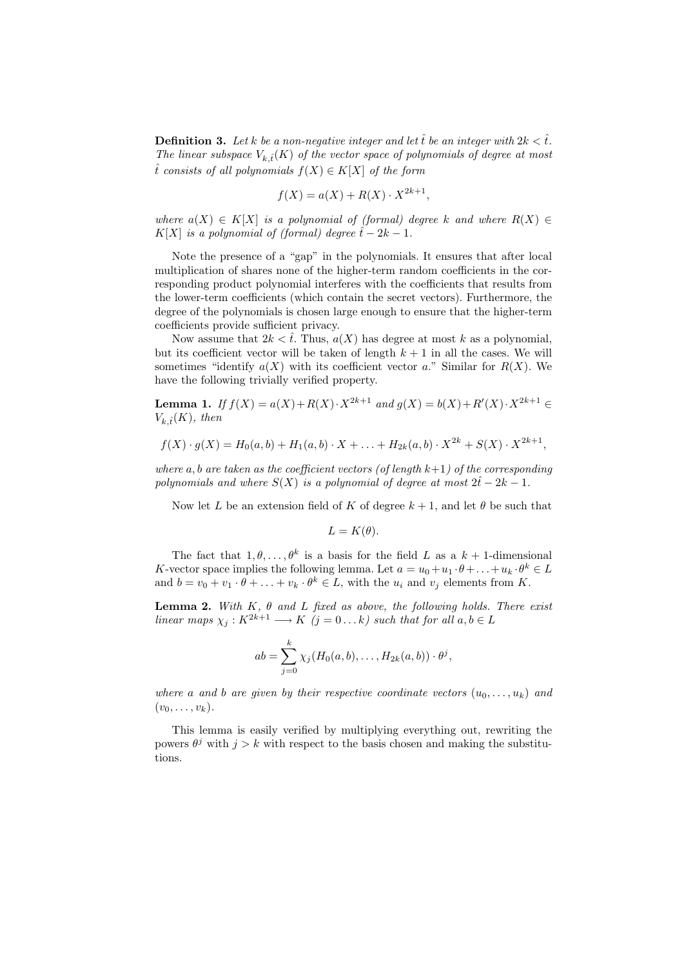**Definition 3.** Let k be a non-negative integer and let  $\hat{t}$  be an integer with  $2k < \hat{t}$ . The linear subspace  $V_{k,\hat{t}}(K)$  of the vector space of polynomials of degree at most to consists of all polynomials  $f(X) \in K[X]$  of the form

$$
f(X) = a(X) + R(X) \cdot X^{2k+1},
$$

where  $a(X) \in K[X]$  is a polynomial of (formal) degree k and where  $R(X) \in$ K[X] is a polynomial of (formal) degree  $\hat{t}$  – 2k – 1.

Note the presence of a "gap" in the polynomials. It ensures that after local multiplication of shares none of the higher-term random coefficients in the corresponding product polynomial interferes with the coefficients that results from the lower-term coefficients (which contain the secret vectors). Furthermore, the degree of the polynomials is chosen large enough to ensure that the higher-term coefficients provide sufficient privacy.

Now assume that  $2k < \hat{t}$ . Thus,  $a(X)$  has degree at most k as a polynomial, but its coefficient vector will be taken of length  $k + 1$  in all the cases. We will sometimes "identify  $a(X)$  with its coefficient vector a." Similar for  $R(X)$ . We have the following trivially verified property.

**Lemma 1.** If  $f(X) = a(X) + R(X) \cdot X^{2k+1}$  and  $g(X) = b(X) + R'(X) \cdot X^{2k+1}$  $V_{k,\hat{t}}(K)$ , then

$$
f(X) \cdot g(X) = H_0(a, b) + H_1(a, b) \cdot X + \ldots + H_{2k}(a, b) \cdot X^{2k} + S(X) \cdot X^{2k+1},
$$

where a, b are taken as the coefficient vectors (of length  $k+1$ ) of the corresponding polynomials and where  $S(X)$  is a polynomial of degree at most  $2\hat{t} - 2k - 1$ .

Now let L be an extension field of K of degree  $k + 1$ , and let  $\theta$  be such that

 $L = K(\theta).$ 

The fact that  $1, \theta, \ldots, \theta^k$  is a basis for the field L as a  $k + 1$ -dimensional K-vector space implies the following lemma. Let  $a = u_0 + u_1 \cdot \theta + \ldots + u_k \cdot \theta^k \in L$ and  $b = v_0 + v_1 \cdot \theta + \ldots + v_k \cdot \theta^k \in L$ , with the  $u_i$  and  $v_j$  elements from K.

**Lemma 2.** With  $K$ ,  $\theta$  and  $L$  fixed as above, the following holds. There exist linear maps  $\chi_j : K^{2k+1} \longrightarrow K$   $(j = 0 ... k)$  such that for all  $a, b \in L$ 

$$
ab = \sum_{j=0}^k \chi_j(H_0(a,b),\ldots,H_{2k}(a,b)) \cdot \theta^j,
$$

where a and b are given by their respective coordinate vectors  $(u_0, \ldots, u_k)$  and  $(v_0,\ldots,v_k)$ .

This lemma is easily verified by multiplying everything out, rewriting the powers  $\theta^j$  with  $j > k$  with respect to the basis chosen and making the substitutions.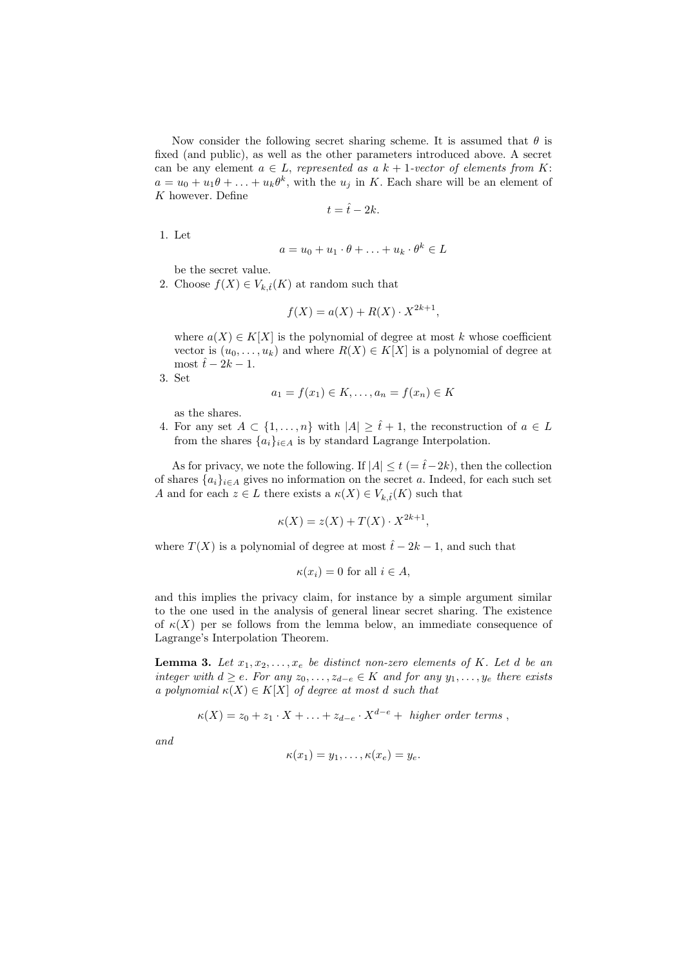Now consider the following secret sharing scheme. It is assumed that  $\theta$  is fixed (and public), as well as the other parameters introduced above. A secret can be any element  $a \in L$ , represented as  $a k + 1$ -vector of elements from K:  $a = u_0 + u_1 \theta + \ldots + u_k \theta^k$ , with the  $u_j$  in K. Each share will be an element of  $K$  however. Define

$$
t = \hat{t} - 2k.
$$

1. Let

$$
a = u_0 + u_1 \cdot \theta + \ldots + u_k \cdot \theta^k \in L
$$

be the secret value.

2. Choose  $f(X) \in V_{k,\hat{t}}(K)$  at random such that

$$
f(X) = a(X) + R(X) \cdot X^{2k+1},
$$

where  $a(X) \in K[X]$  is the polynomial of degree at most k whose coefficient vector is  $(u_0, \ldots, u_k)$  and where  $R(X) \in K[X]$  is a polynomial of degree at most  $\hat{t}$  − 2k − 1.

3. Set

$$
a_1 = f(x_1) \in K, \dots, a_n = f(x_n) \in K
$$

as the shares.

4. For any set  $A \subset \{1, \ldots, n\}$  with  $|A| \geq \hat{t} + 1$ , the reconstruction of  $a \in L$ from the shares  $\{a_i\}_{i\in A}$  is by standard Lagrange Interpolation.

As for privacy, we note the following. If  $|A| \le t$  (=  $\hat{t}-2k$ ), then the collection of shares  $\{a_i\}_{i\in A}$  gives no information on the secret a. Indeed, for each such set A and for each  $z \in L$  there exists a  $\kappa(X) \in V_{k,\hat{t}}(K)$  such that

$$
\kappa(X) = z(X) + T(X) \cdot X^{2k+1},
$$

where  $T(X)$  is a polynomial of degree at most  $\hat{t}$  − 2k − 1, and such that

$$
\kappa(x_i) = 0 \text{ for all } i \in A,
$$

and this implies the privacy claim, for instance by a simple argument similar to the one used in the analysis of general linear secret sharing. The existence of  $\kappa(X)$  per se follows from the lemma below, an immediate consequence of Lagrange's Interpolation Theorem.

**Lemma 3.** Let  $x_1, x_2, \ldots, x_e$  be distinct non-zero elements of K. Let d be an integer with  $d \geq e$ . For any  $z_0, \ldots, z_{d-e} \in K$  and for any  $y_1, \ldots, y_e$  there exists a polynomial  $\kappa(X) \in K[X]$  of degree at most d such that

$$
\kappa(X) = z_0 + z_1 \cdot X + \ldots + z_{d-e} \cdot X^{d-e} + higher order terms,
$$

and

$$
\kappa(x_1)=y_1,\ldots,\kappa(x_e)=y_e.
$$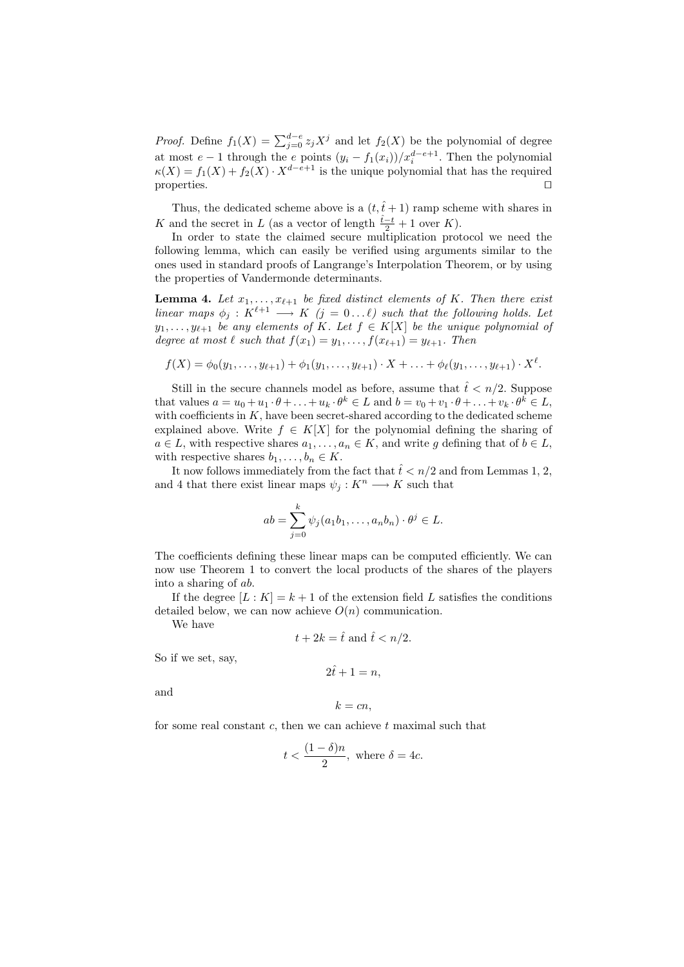*Proof.* Define  $f_1(X) = \sum_{j=0}^{d-e} z_j X^j$  and let  $f_2(X)$  be the polynomial of degree at most  $e-1$  through the e points  $(y_i - f_1(x_i))/x_i^{d-e+1}$ . Then the polynomial  $\kappa(X) = f_1(X) + f_2(X) \cdot X^{d-e+1}$  is the unique polynomial that has the required properties.  $\Box$ 

Thus, the dedicated scheme above is a  $(t, \hat{t} + 1)$  ramp scheme with shares in K and the secret in L (as a vector of length  $\frac{\hat{t}-t}{2} + 1$  over K).

In order to state the claimed secure multiplication protocol we need the following lemma, which can easily be verified using arguments similar to the ones used in standard proofs of Langrange's Interpolation Theorem, or by using the properties of Vandermonde determinants.

**Lemma 4.** Let  $x_1, \ldots, x_{\ell+1}$  be fixed distinct elements of K. Then there exist linear maps  $\phi_j : K^{\ell+1} \longrightarrow K$   $(j = 0 \dots \ell)$  such that the following holds. Let  $y_1, \ldots, y_{\ell+1}$  be any elements of K. Let  $f \in K[X]$  be the unique polynomial of degree at most  $\ell$  such that  $f(x_1) = y_1, \ldots, f(x_{\ell+1}) = y_{\ell+1}$ . Then

$$
f(X) = \phi_0(y_1, \ldots, y_{\ell+1}) + \phi_1(y_1, \ldots, y_{\ell+1}) \cdot X + \ldots + \phi_{\ell}(y_1, \ldots, y_{\ell+1}) \cdot X^{\ell}.
$$

Still in the secure channels model as before, assume that  $\hat{t} < n/2$ . Suppose that values  $a = u_0 + u_1 \cdot \theta + \ldots + u_k \cdot \theta^k \in L$  and  $b = v_0 + v_1 \cdot \theta + \ldots + v_k \cdot \theta^k \in L$ , with coefficients in  $K$ , have been secret-shared according to the dedicated scheme explained above. Write  $f \in K[X]$  for the polynomial defining the sharing of  $a \in L$ , with respective shares  $a_1, \ldots, a_n \in K$ , and write g defining that of  $b \in L$ , with respective shares  $b_1, \ldots, b_n \in K$ .

It now follows immediately from the fact that  $\hat{t} < n/2$  and from Lemmas 1, 2, and 4 that there exist linear maps  $\psi_i : K^n \longrightarrow K$  such that

$$
ab = \sum_{j=0}^k \psi_j(a_1b_1,\ldots,a_nb_n)\cdot\theta^j \in L.
$$

The coefficients defining these linear maps can be computed efficiently. We can now use Theorem 1 to convert the local products of the shares of the players into a sharing of ab.

If the degree  $[L: K] = k + 1$  of the extension field L satisfies the conditions detailed below, we can now achieve  $O(n)$  communication.

We have

$$
t + 2k = \hat{t} \text{ and } \hat{t} < n/2.
$$

So if we set, say,

$$
2\hat{t} + 1 = n,
$$

and

$$
k=cn,
$$

for some real constant  $c$ , then we can achieve  $t$  maximal such that

$$
t < \frac{(1-\delta)n}{2}, \text{ where } \delta = 4c.
$$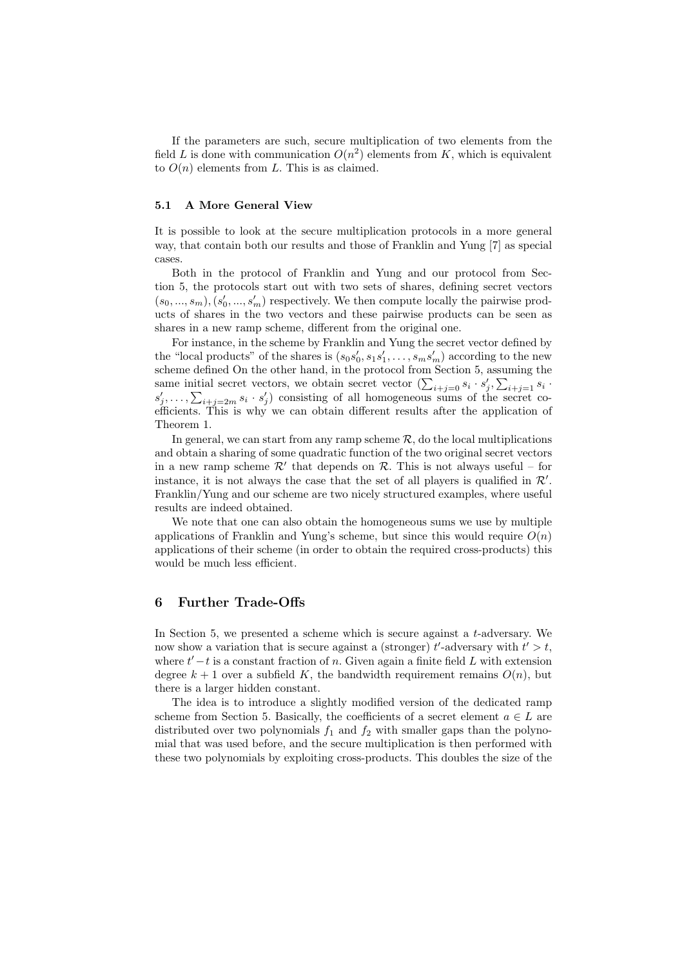If the parameters are such, secure multiplication of two elements from the field L is done with communication  $O(n^2)$  elements from K, which is equivalent to  $O(n)$  elements from L. This is as claimed.

#### 5.1 A More General View

It is possible to look at the secure multiplication protocols in a more general way, that contain both our results and those of Franklin and Yung [7] as special cases.

Both in the protocol of Franklin and Yung and our protocol from Section 5, the protocols start out with two sets of shares, defining secret vectors  $(s_0, ..., s_m), (s'_0, ..., s'_m)$  respectively. We then compute locally the pairwise products of shares in the two vectors and these pairwise products can be seen as shares in a new ramp scheme, different from the original one.

For instance, in the scheme by Franklin and Yung the secret vector defined by the "local products" of the shares is  $(s_0s'_0, s_1s'_1, \ldots, s_ms'_m)$  according to the new scheme defined On the other hand, in the protocol from Section 5, assuming the same initial secret vectors, we obtain secret vector  $(\sum_{i+j=0} s_i \cdot s'_j, \sum_{i+j=1} s_i \cdot s'_j)$  $s'_j, \ldots, \sum_{i+j=2m} s_i \cdot s'_j$  consisting of all homogeneous sums of the secret coefficients. This is why we can obtain different results after the application of Theorem 1.

In general, we can start from any ramp scheme  $\mathcal{R}$ , do the local multiplications and obtain a sharing of some quadratic function of the two original secret vectors in a new ramp scheme  $\mathcal{R}'$  that depends on  $\mathcal{R}$ . This is not always useful – for instance, it is not always the case that the set of all players is qualified in  $\mathcal{R}'$ . Franklin/Yung and our scheme are two nicely structured examples, where useful results are indeed obtained.

We note that one can also obtain the homogeneous sums we use by multiple applications of Franklin and Yung's scheme, but since this would require  $O(n)$ applications of their scheme (in order to obtain the required cross-products) this would be much less efficient.

#### 6 Further Trade-Offs

In Section 5, we presented a scheme which is secure against a  $t$ -adversary. We now show a variation that is secure against a (stronger)  $t'$ -adversary with  $t' > t$ , where  $t'-t$  is a constant fraction of n. Given again a finite field L with extension degree  $k + 1$  over a subfield K, the bandwidth requirement remains  $O(n)$ , but there is a larger hidden constant.

The idea is to introduce a slightly modified version of the dedicated ramp scheme from Section 5. Basically, the coefficients of a secret element  $a \in L$  are distributed over two polynomials  $f_1$  and  $f_2$  with smaller gaps than the polynomial that was used before, and the secure multiplication is then performed with these two polynomials by exploiting cross-products. This doubles the size of the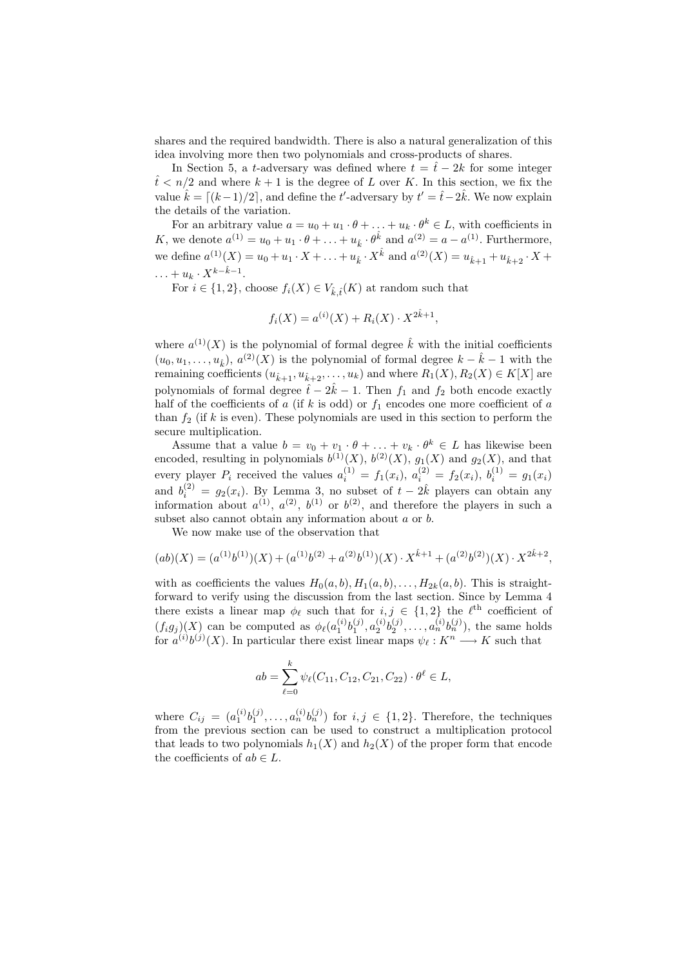shares and the required bandwidth. There is also a natural generalization of this idea involving more then two polynomials and cross-products of shares.

In Section 5, a t-adversary was defined where  $t = \hat{t} - 2k$  for some integer  $t \leq n/2$  and where  $k+1$  is the degree of L over K. In this section, we fix the value  $\hat{k} = \lfloor (k-1)/2 \rfloor$ , and define the t'-adversary by  $t' = \hat{t} - 2\hat{k}$ . We now explain the details of the variation.

For an arbitrary value  $a = u_0 + u_1 \cdot \theta + \ldots + u_k \cdot \theta^k \in L$ , with coefficients in K, we denote  $a^{(1)} = u_0 + u_1 \cdot \theta + \ldots + u_{\hat{k}} \cdot \theta^{\hat{k}}$  and  $a^{(2)} = a - a^{(1)}$ . Furthermore, we define  $a^{(1)}(X) = u_0 + u_1 \cdot X + \ldots + u_{\hat{k}} \cdot X^{\hat{k}}$  and  $a^{(2)}(X) = u_{\hat{k}+1} + u_{\hat{k}+2} \cdot X +$  $\dots + u_k \cdot X^{k-k-1}.$ 

For  $i \in \{1,2\}$ , choose  $f_i(X) \in V_{\hat{k} \hat{t}}(K)$  at random such that

$$
f_i(X) = a^{(i)}(X) + R_i(X) \cdot X^{2\hat{k}+1},
$$

where  $a^{(1)}(X)$  is the polynomial of formal degree  $\hat{k}$  with the initial coefficients  $(u_0, u_1, \ldots, u_{\hat{k}}), a^{(2)}(X)$  is the polynomial of formal degree  $k - \hat{k} - 1$  with the remaining coefficients  $(u_{\hat{k}+1}, u_{\hat{k}+2}, \ldots, u_k)$  and where  $R_1(X), R_2(X) \in K[X]$  are polynomials of formal degree  $\hat{t} - 2\hat{k} - 1$ . Then  $f_1$  and  $f_2$  both encode exactly half of the coefficients of a (if k is odd) or  $f_1$  encodes one more coefficient of a than  $f_2$  (if k is even). These polynomials are used in this section to perform the secure multiplication.

Assume that a value  $b = v_0 + v_1 \cdot \theta + \ldots + v_k \cdot \theta^k \in L$  has likewise been encoded, resulting in polynomials  $b^{(1)}(X)$ ,  $b^{(2)}(X)$ ,  $g_1(X)$  and  $g_2(X)$ , and that every player  $P_i$  received the values  $a_i^{(1)} = f_1(x_i), a_i^{(2)} = f_2(x_i), b_i^{(1)} = g_1(x_i)$ and  $b_i^{(2)} = g_2(x_i)$ . By Lemma 3, no subset of  $t - 2\hat{k}$  players can obtain any information about  $a^{(1)}$ ,  $a^{(2)}$ ,  $b^{(1)}$  or  $b^{(2)}$ , and therefore the players in such a subset also cannot obtain any information about a or b.

We now make use of the observation that

$$
(ab)(X) = (a^{(1)}b^{(1)})(X) + (a^{(1)}b^{(2)} + a^{(2)}b^{(1)})(X) \cdot X^{\hat{k}+1} + (a^{(2)}b^{(2)})(X) \cdot X^{2\hat{k}+2},
$$

with as coefficients the values  $H_0(a, b), H_1(a, b), \ldots, H_{2k}(a, b)$ . This is straightforward to verify using the discussion from the last section. Since by Lemma 4 there exists a linear map  $\phi_{\ell}$  such that for  $i, j \in \{1, 2\}$  the  $\ell^{\text{th}}$  coefficient of  $(f_i g_j)(X)$  can be computed as  $\phi_{\ell}(a_1^{(i)} b_1^{(j)}, a_2^{(i)} b_2^{(j)}, \ldots, a_n^{(i)} b_n^{(j)})$ , the same holds for  $a^{(i)}b^{(j)}(X)$ . In particular there exist linear maps  $\psi_{\ell}: K^n \longrightarrow K$  such that

$$
ab = \sum_{\ell=0}^{k} \psi_{\ell}(C_{11}, C_{12}, C_{21}, C_{22}) \cdot \theta^{\ell} \in L,
$$

where  $C_{ij} = (a_1^{(i)}b_1^{(j)}, \ldots, a_n^{(i)}b_n^{(j)})$  for  $i, j \in \{1, 2\}$ . Therefore, the techniques from the previous section can be used to construct a multiplication protocol that leads to two polynomials  $h_1(X)$  and  $h_2(X)$  of the proper form that encode the coefficients of  $ab \in L$ .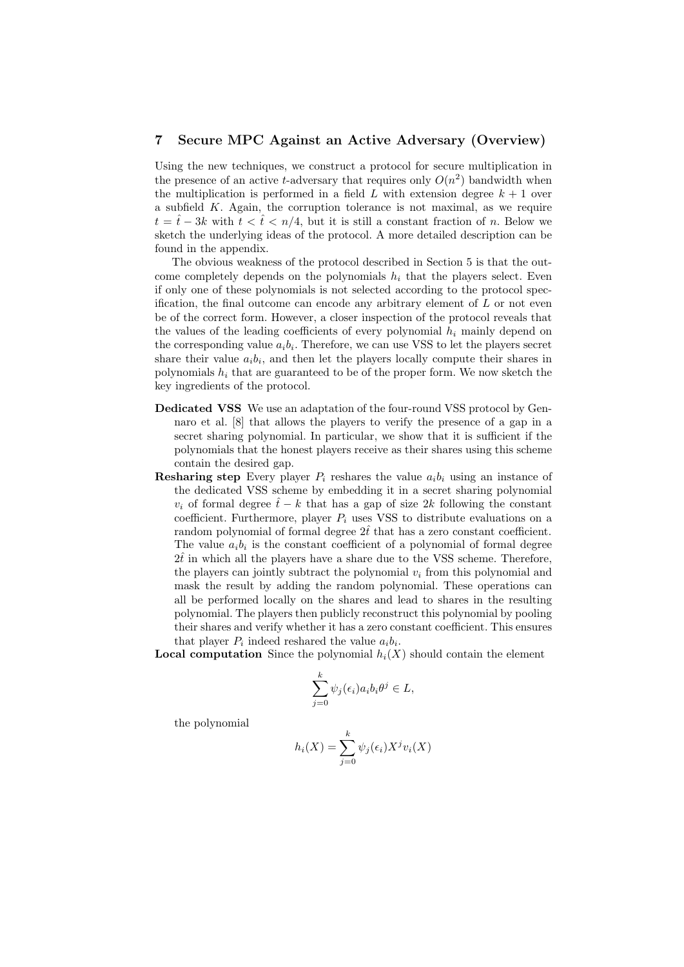### 7 Secure MPC Against an Active Adversary (Overview)

Using the new techniques, we construct a protocol for secure multiplication in the presence of an active *t*-adversary that requires only  $O(n^2)$  bandwidth when the multiplication is performed in a field L with extension degree  $k + 1$  over a subfield  $K$ . Again, the corruption tolerance is not maximal, as we require  $t = \hat{t} - 3k$  with  $t < \hat{t} < n/4$ , but it is still a constant fraction of n. Below we sketch the underlying ideas of the protocol. A more detailed description can be found in the appendix.

The obvious weakness of the protocol described in Section 5 is that the outcome completely depends on the polynomials  $h_i$  that the players select. Even if only one of these polynomials is not selected according to the protocol specification, the final outcome can encode any arbitrary element of  $L$  or not even be of the correct form. However, a closer inspection of the protocol reveals that the values of the leading coefficients of every polynomial  $h_i$  mainly depend on the corresponding value  $a_i b_i$ . Therefore, we can use VSS to let the players secret share their value  $a_i b_i$ , and then let the players locally compute their shares in polynomials  $h_i$  that are guaranteed to be of the proper form. We now sketch the key ingredients of the protocol.

- Dedicated VSS We use an adaptation of the four-round VSS protocol by Gennaro et al. [8] that allows the players to verify the presence of a gap in a secret sharing polynomial. In particular, we show that it is sufficient if the polynomials that the honest players receive as their shares using this scheme contain the desired gap.
- **Resharing step** Every player  $P_i$  reshares the value  $a_i b_i$  using an instance of the dedicated VSS scheme by embedding it in a secret sharing polynomial  $v_i$  of formal degree  $\hat{t} - k$  that has a gap of size 2k following the constant coefficient. Furthermore, player  $P_i$  uses VSS to distribute evaluations on a random polynomial of formal degree  $2\hat{t}$  that has a zero constant coefficient. The value  $a_i b_i$  is the constant coefficient of a polynomial of formal degree  $2\hat{t}$  in which all the players have a share due to the VSS scheme. Therefore, the players can jointly subtract the polynomial  $v_i$  from this polynomial and mask the result by adding the random polynomial. These operations can all be performed locally on the shares and lead to shares in the resulting polynomial. The players then publicly reconstruct this polynomial by pooling their shares and verify whether it has a zero constant coefficient. This ensures that player  $P_i$  indeed reshared the value  $a_i b_i$ .

**Local computation** Since the polynomial  $h_i(X)$  should contain the element

$$
\sum_{j=0}^k \psi_j(\epsilon_i) a_i b_i \theta^j \in L,
$$

the polynomial

$$
h_i(X) = \sum_{j=0}^{k} \psi_j(\epsilon_i) X^j v_i(X)
$$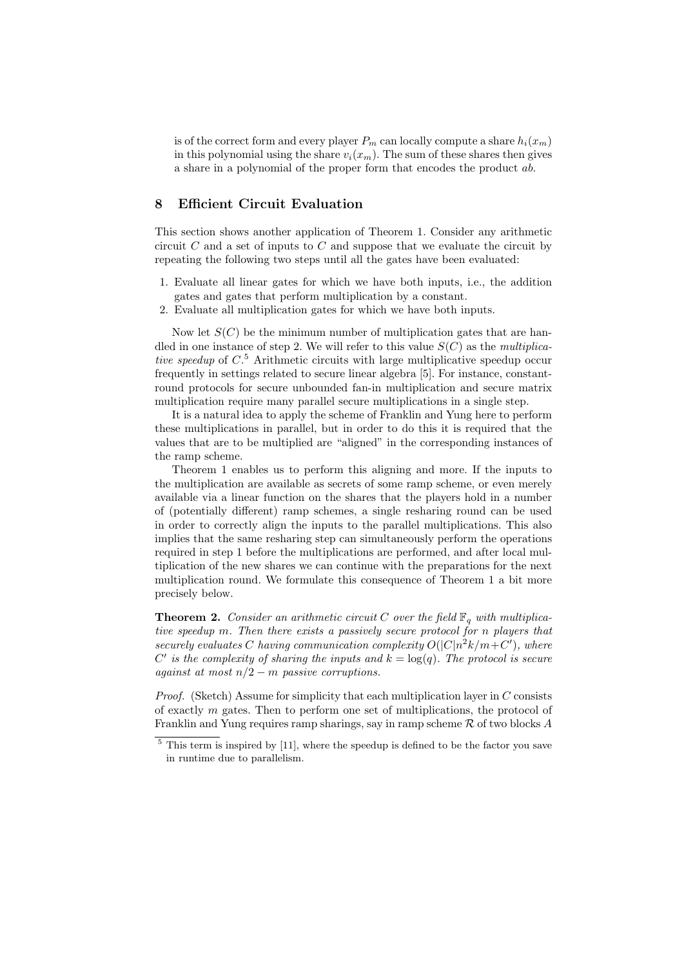is of the correct form and every player  $P_m$  can locally compute a share  $h_i(x_m)$ in this polynomial using the share  $v_i(x_m)$ . The sum of these shares then gives a share in a polynomial of the proper form that encodes the product ab.

# 8 Efficient Circuit Evaluation

This section shows another application of Theorem 1. Consider any arithmetic circuit  $C$  and a set of inputs to  $C$  and suppose that we evaluate the circuit by repeating the following two steps until all the gates have been evaluated:

- 1. Evaluate all linear gates for which we have both inputs, i.e., the addition gates and gates that perform multiplication by a constant.
- 2. Evaluate all multiplication gates for which we have both inputs.

Now let  $S(C)$  be the minimum number of multiplication gates that are handled in one instance of step 2. We will refer to this value  $S(C)$  as the multiplicative speedup of  $C$ <sup>5</sup> Arithmetic circuits with large multiplicative speedup occur frequently in settings related to secure linear algebra [5]. For instance, constantround protocols for secure unbounded fan-in multiplication and secure matrix multiplication require many parallel secure multiplications in a single step.

It is a natural idea to apply the scheme of Franklin and Yung here to perform these multiplications in parallel, but in order to do this it is required that the values that are to be multiplied are "aligned" in the corresponding instances of the ramp scheme.

Theorem 1 enables us to perform this aligning and more. If the inputs to the multiplication are available as secrets of some ramp scheme, or even merely available via a linear function on the shares that the players hold in a number of (potentially different) ramp schemes, a single resharing round can be used in order to correctly align the inputs to the parallel multiplications. This also implies that the same resharing step can simultaneously perform the operations required in step 1 before the multiplications are performed, and after local multiplication of the new shares we can continue with the preparations for the next multiplication round. We formulate this consequence of Theorem 1 a bit more precisely below.

**Theorem 2.** Consider an arithmetic circuit C over the field  $\mathbb{F}_q$  with multiplicative speedup m. Then there exists a passively secure protocol for n players that securely evaluates C having communication complexity  $O(|C|n^2k/m+C')$ , where C' is the complexity of sharing the inputs and  $k = \log(q)$ . The protocol is secure against at most  $n/2 - m$  passive corruptions.

*Proof.* (Sketch) Assume for simplicity that each multiplication layer in  $C$  consists of exactly m gates. Then to perform one set of multiplications, the protocol of Franklin and Yung requires ramp sharings, say in ramp scheme  $\mathcal R$  of two blocks A

 $5$  This term is inspired by [11], where the speedup is defined to be the factor you save in runtime due to parallelism.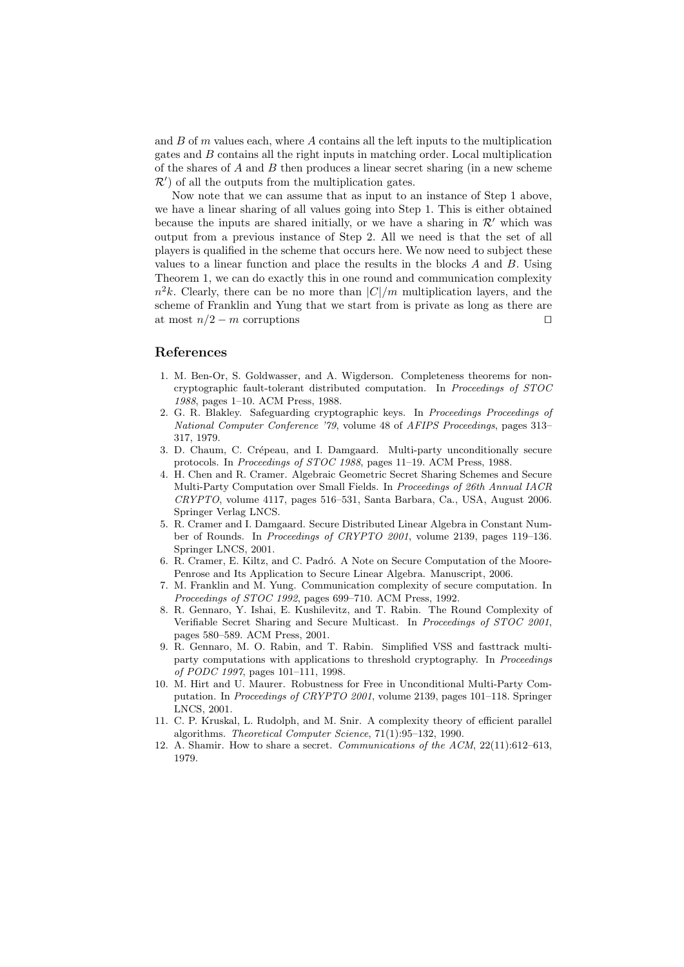and  $B$  of  $m$  values each, where  $A$  contains all the left inputs to the multiplication gates and B contains all the right inputs in matching order. Local multiplication of the shares of  $A$  and  $B$  then produces a linear secret sharing (in a new scheme  $\mathcal{R}'$  of all the outputs from the multiplication gates.

Now note that we can assume that as input to an instance of Step 1 above, we have a linear sharing of all values going into Step 1. This is either obtained because the inputs are shared initially, or we have a sharing in  $\mathcal{R}'$  which was output from a previous instance of Step 2. All we need is that the set of all players is qualified in the scheme that occurs here. We now need to subject these values to a linear function and place the results in the blocks  $A$  and  $B$ . Using Theorem 1, we can do exactly this in one round and communication complexity  $n^2k$ . Clearly, there can be no more than  $|C|/m$  multiplication layers, and the scheme of Franklin and Yung that we start from is private as long as there are at most  $n/2 - m$  corruptions  $\square$ 

#### References

- 1. M. Ben-Or, S. Goldwasser, and A. Wigderson. Completeness theorems for noncryptographic fault-tolerant distributed computation. In Proceedings of STOC 1988, pages 1–10. ACM Press, 1988.
- 2. G. R. Blakley. Safeguarding cryptographic keys. In Proceedings Proceedings of National Computer Conference '79, volume 48 of AFIPS Proceedings, pages 313– 317, 1979.
- 3. D. Chaum, C. Crépeau, and I. Damgaard. Multi-party unconditionally secure protocols. In Proceedings of STOC 1988, pages 11–19. ACM Press, 1988.
- 4. H. Chen and R. Cramer. Algebraic Geometric Secret Sharing Schemes and Secure Multi-Party Computation over Small Fields. In Proceedings of 26th Annual IACR CRYPTO, volume 4117, pages 516–531, Santa Barbara, Ca., USA, August 2006. Springer Verlag LNCS.
- 5. R. Cramer and I. Damgaard. Secure Distributed Linear Algebra in Constant Number of Rounds. In Proceedings of CRYPTO 2001, volume 2139, pages 119–136. Springer LNCS, 2001.
- 6. R. Cramer, E. Kiltz, and C. Padró. A Note on Secure Computation of the Moore-Penrose and Its Application to Secure Linear Algebra. Manuscript, 2006.
- 7. M. Franklin and M. Yung. Communication complexity of secure computation. In Proceedings of STOC 1992, pages 699–710. ACM Press, 1992.
- 8. R. Gennaro, Y. Ishai, E. Kushilevitz, and T. Rabin. The Round Complexity of Verifiable Secret Sharing and Secure Multicast. In Proceedings of STOC 2001, pages 580–589. ACM Press, 2001.
- 9. R. Gennaro, M. O. Rabin, and T. Rabin. Simplified VSS and fasttrack multiparty computations with applications to threshold cryptography. In Proceedings of PODC 1997, pages 101–111, 1998.
- 10. M. Hirt and U. Maurer. Robustness for Free in Unconditional Multi-Party Computation. In Proceedings of CRYPTO 2001, volume 2139, pages 101–118. Springer LNCS, 2001.
- 11. C. P. Kruskal, L. Rudolph, and M. Snir. A complexity theory of efficient parallel algorithms. Theoretical Computer Science, 71(1):95–132, 1990.
- 12. A. Shamir. How to share a secret. Communications of the ACM, 22(11):612–613, 1979.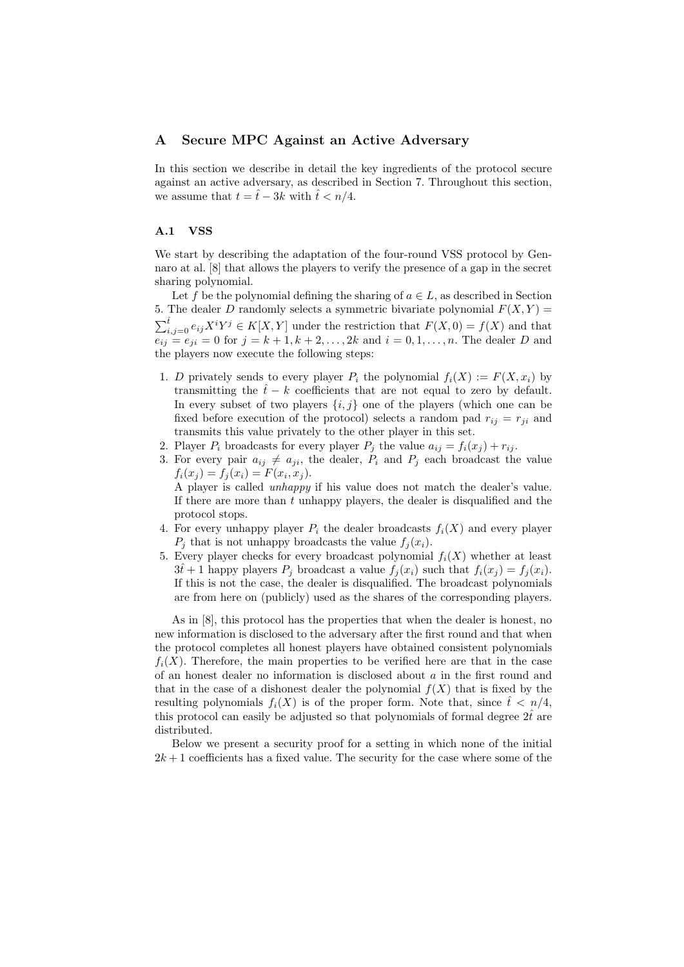# A Secure MPC Against an Active Adversary

In this section we describe in detail the key ingredients of the protocol secure against an active adversary, as described in Section 7. Throughout this section, we assume that  $t = \hat{t} - 3k$  with  $\hat{t} < n/4$ .

# A.1 VSS

We start by describing the adaptation of the four-round VSS protocol by Gennaro at al. [8] that allows the players to verify the presence of a gap in the secret sharing polynomial.

Let f be the polynomial defining the sharing of  $a \in L$ , as described in Section 5. The dealer D randomly selects a symmetric bivariate polynomial  $F(X, Y) =$  $\sum_{i,j=0}^{\hat{t}} e_{ij} X^i Y^j \in K[X, Y]$  under the restriction that  $F(X, 0) = f(X)$  and that  $e_{ij} = e_{ji} = 0$  for  $j = k + 1, k + 2, ..., 2k$  and  $i = 0, 1, ..., n$ . The dealer D and the players now execute the following steps:

- 1. D privately sends to every player  $P_i$  the polynomial  $f_i(X) := F(X, x_i)$  by transmitting the  $\hat{t} - k$  coefficients that are not equal to zero by default. In every subset of two players  $\{i, j\}$  one of the players (which one can be fixed before execution of the protocol) selects a random pad  $r_{ij} = r_{ji}$  and transmits this value privately to the other player in this set.
- 2. Player  $P_i$  broadcasts for every player  $P_j$  the value  $a_{ij} = f_i(x_j) + r_{ij}$ .
- 3. For every pair  $a_{ij} \neq a_{ji}$ , the dealer,  $P_i$  and  $P_j$  each broadcast the value  $f_i(x_j) = f_j(x_i) = F(x_i, x_j).$

A player is called unhappy if his value does not match the dealer's value. If there are more than  $t$  unhappy players, the dealer is disqualified and the protocol stops.

- 4. For every unhappy player  $P_i$  the dealer broadcasts  $f_i(X)$  and every player  $P_i$  that is not unhappy broadcasts the value  $f_i(x_i)$ .
- 5. Every player checks for every broadcast polynomial  $f_i(X)$  whether at least  $3\hat{t}+1$  happy players  $P_i$  broadcast a value  $f_i(x_i)$  such that  $f_i(x_i) = f_i(x_i)$ . If this is not the case, the dealer is disqualified. The broadcast polynomials are from here on (publicly) used as the shares of the corresponding players.

As in [8], this protocol has the properties that when the dealer is honest, no new information is disclosed to the adversary after the first round and that when the protocol completes all honest players have obtained consistent polynomials  $f_i(X)$ . Therefore, the main properties to be verified here are that in the case of an honest dealer no information is disclosed about a in the first round and that in the case of a dishonest dealer the polynomial  $f(X)$  that is fixed by the resulting polynomials  $f_i(X)$  is of the proper form. Note that, since  $\hat{t} \leq n/4$ , this protocol can easily be adjusted so that polynomials of formal degree  $2t^2$  are distributed.

Below we present a security proof for a setting in which none of the initial  $2k+1$  coefficients has a fixed value. The security for the case where some of the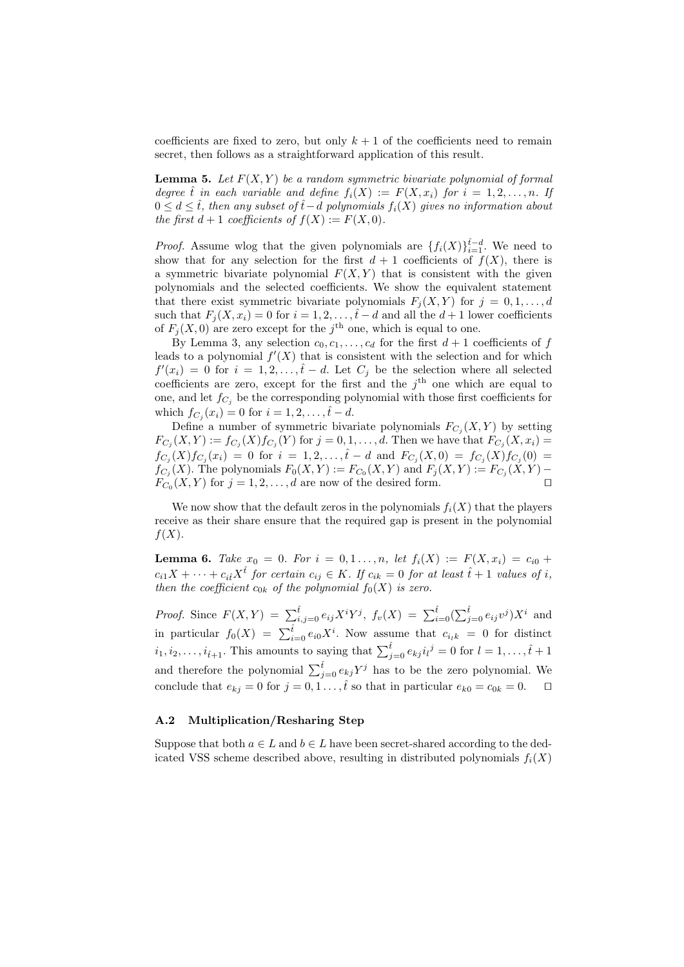coefficients are fixed to zero, but only  $k + 1$  of the coefficients need to remain secret, then follows as a straightforward application of this result.

**Lemma 5.** Let  $F(X, Y)$  be a random symmetric bivariate polynomial of formal degree  $\hat{t}$  in each variable and define  $f_i(X) := F(X, x_i)$  for  $i = 1, 2, ..., n$ . If  $0 \leq d \leq \hat{t}$ , then any subset of  $\hat{t} - d$  polynomials  $f_i(X)$  gives no information about the first  $d+1$  coefficients of  $f(X) := F(X,0)$ .

*Proof.* Assume wlog that the given polynomials are  $\{f_i(X)\}_{i=1}^{\hat{t}-d}$ . We need to show that for any selection for the first  $d+1$  coefficients of  $f(X)$ , there is a symmetric bivariate polynomial  $F(X, Y)$  that is consistent with the given polynomials and the selected coefficients. We show the equivalent statement that there exist symmetric bivariate polynomials  $F_i(X, Y)$  for  $j = 0, 1, \ldots, d$ such that  $F_j(X, x_i) = 0$  for  $i = 1, 2, \ldots, \hat{t} - d$  and all the  $d + 1$  lower coefficients of  $F_j(X,0)$  are zero except for the j<sup>th</sup> one, which is equal to one.

By Lemma 3, any selection  $c_0, c_1, \ldots, c_d$  for the first  $d + 1$  coefficients of f leads to a polynomial  $f'(X)$  that is consistent with the selection and for which  $f'(x_i) = 0$  for  $i = 1, 2, \ldots, \hat{t} - d$ . Let  $C_j$  be the selection where all selected coefficients are zero, except for the first and the  $j<sup>th</sup>$  one which are equal to one, and let  $f_{C_i}$  be the corresponding polynomial with those first coefficients for which  $f_{C_i}(x_i) = 0$  for  $i = 1, 2, ..., \hat{t} - d$ .

Define a number of symmetric bivariate polynomials  $F_{C_j}(X, Y)$  by setting  $F_{C_j}(X,Y) := f_{C_j}(X) f_{C_j}(Y)$  for  $j = 0,1,\ldots,d$ . Then we have that  $F_{C_j}(X,x_i) =$  $f_{C_j}(X)f_{C_j}(x_i) = 0$  for  $i = 1, 2, ..., \hat{t} - d$  and  $F_{C_j}(X, 0) = f_{C_j}(X)f_{C_j}(0) =$  $f_{C_j}(X)$ . The polynomials  $F_0(X,Y) := F_{C_0}(X,Y)$  and  $F_j(X,Y) := F_{C_j}(X,Y) F_{C_0}(X,Y)$  for  $j=1,2,\ldots,d$  are now of the desired form.

We now show that the default zeros in the polynomials  $f_i(X)$  that the players receive as their share ensure that the required gap is present in the polynomial  $f(X)$ .

**Lemma 6.** Take  $x_0 = 0$ . For  $i = 0, 1, ..., n$ , let  $f_i(X) := F(X, x_i) = c_{i0} +$  $c_{i1}X + \cdots + c_{i\hat{i}}X^{\hat{t}}$  for certain  $c_{ij} \in K$ . If  $c_{ik} = 0$  for at least  $\hat{t} + 1$  values of i, then the coefficient  $c_{0k}$  of the polynomial  $f_0(X)$  is zero.

*Proof.* Since  $F(X,Y) = \sum_{i,j=0}^{\hat{t}} e_{ij} X^i Y^j$ ,  $f_v(X) = \sum_{i=0}^{\hat{t}} (\sum_{j=0}^{\hat{t}} e_{ij} v^j) X^i$  and in particular  $f_0(X) = \sum_{i=0}^{\hat{t}} e_{i0} X^i$ . Now assume that  $c_{i_k} = 0$  for distinct  $i_1, i_2, \ldots, i_{\hat{t}+1}$ . This amounts to saying that  $\sum_{j=0}^{\hat{t}} e_{kj} i_l^j = 0$  for  $l = 1, \ldots, \hat{t}+1$ and therefore the polynomial  $\sum_{j=0}^{\hat{t}} e_{kj}Y^j$  has to be the zero polynomial. We conclude that  $e_{kj} = 0$  for  $j = 0, 1, \ldots, \hat{t}$  so that in particular  $e_{k0} = c_{0k} = 0$ .

#### A.2 Multiplication/Resharing Step

Suppose that both  $a \in L$  and  $b \in L$  have been secret-shared according to the dedicated VSS scheme described above, resulting in distributed polynomials  $f_i(X)$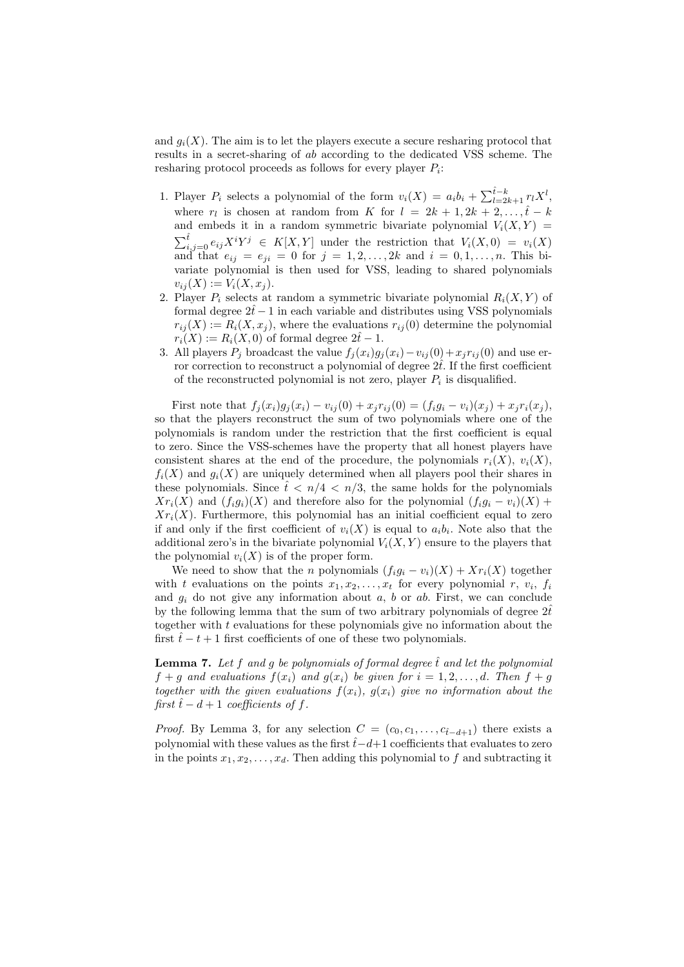and  $g_i(X)$ . The aim is to let the players execute a secure resharing protocol that results in a secret-sharing of ab according to the dedicated VSS scheme. The resharing protocol proceeds as follows for every player  $P_i$ :

- 1. Player  $P_i$  selects a polynomial of the form  $v_i(X) = a_i b_i + \sum_{l=2k+1}^{i-k} r_l X^l$ , where  $r_l$  is chosen at random from K for  $l = 2k + 1, 2k + 2, \ldots, \hat{t} - k$ and embeds it in a random symmetric bivariate polynomial  $V_i(X, Y) =$  $\sum_{i,j=0}^{\hat{t}} e_{ij} X^i Y^j \in K[X,Y]$  under the restriction that  $V_i(X,0) = v_i(X)$ and that  $e_{ij} = e_{ji} = 0$  for  $j = 1, 2, ..., 2k$  and  $i = 0, 1, ..., n$ . This bivariate polynomial is then used for VSS, leading to shared polynomials  $v_{ij}(X) := V_i(X, x_j).$
- 2. Player  $P_i$  selects at random a symmetric bivariate polynomial  $R_i(X, Y)$  of formal degree  $2\hat{t}-1$  in each variable and distributes using VSS polynomials  $r_{ij}(X) := R_i(X, x_j)$ , where the evaluations  $r_{ij}(0)$  determine the polynomial  $r_i(X) := R_i(X,0)$  of formal degree  $2\hat{t}-1$ .
- 3. All players  $P_j$  broadcast the value  $f_j(x_i)g_j(x_i)-v_{ij}(0)+x_jr_{ij}(0)$  and use error correction to reconstruct a polynomial of degree  $2t$ . If the first coefficient of the reconstructed polynomial is not zero, player  $P_i$  is disqualified.

First note that  $f_j(x_i)g_j(x_i) - v_{ij}(0) + x_jr_{ij}(0) = (f_ig_i - v_i)(x_j) + x_jr_i(x_j),$ so that the players reconstruct the sum of two polynomials where one of the polynomials is random under the restriction that the first coefficient is equal to zero. Since the VSS-schemes have the property that all honest players have consistent shares at the end of the procedure, the polynomials  $r_i(X)$ ,  $v_i(X)$ ,  $f_i(X)$  and  $g_i(X)$  are uniquely determined when all players pool their shares in these polynomials. Since  $\hat{t} < n/4 < n/3$ , the same holds for the polynomials  $Xr_i(X)$  and  $(f_ig_i)(X)$  and therefore also for the polynomial  $(f_ig_i - v_i)(X)$  +  $Xr_i(X)$ . Furthermore, this polynomial has an initial coefficient equal to zero if and only if the first coefficient of  $v_i(X)$  is equal to  $a_i b_i$ . Note also that the additional zero's in the bivariate polynomial  $V_i(X, Y)$  ensure to the players that the polynomial  $v_i(X)$  is of the proper form.

We need to show that the n polynomials  $(f_i g_i - v_i)(X) + X r_i(X)$  together with t evaluations on the points  $x_1, x_2, \ldots, x_t$  for every polynomial r,  $v_i$ ,  $f_i$ and  $q_i$  do not give any information about a, b or ab. First, we can conclude by the following lemma that the sum of two arbitrary polynomials of degree  $2t^2$ together with  $t$  evaluations for these polynomials give no information about the first  $\hat{t} - t + 1$  first coefficients of one of these two polynomials.

**Lemma 7.** Let f and g be polynomials of formal degree  $\hat{t}$  and let the polynomial  $f + q$  and evaluations  $f(x_i)$  and  $g(x_i)$  be given for  $i = 1, 2, ..., d$ . Then  $f + q$ together with the given evaluations  $f(x_i)$ ,  $g(x_i)$  give no information about the first  $\hat{t}$  − d + 1 coefficients of f.

*Proof.* By Lemma 3, for any selection  $C = (c_0, c_1, \ldots, c_{\hat{t}-d+1})$  there exists a polynomial with these values as the first  $\hat{t}-d+1$  coefficients that evaluates to zero in the points  $x_1, x_2, \ldots, x_d$ . Then adding this polynomial to f and subtracting it